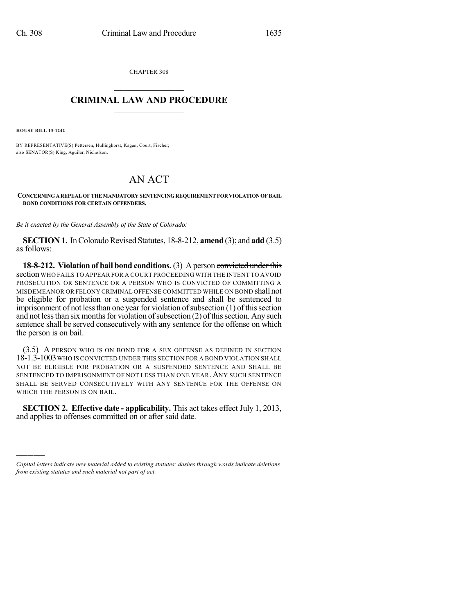CHAPTER 308  $\mathcal{L}_\text{max}$  . The set of the set of the set of the set of the set of the set of the set of the set of the set of the set of the set of the set of the set of the set of the set of the set of the set of the set of the set

## **CRIMINAL LAW AND PROCEDURE**  $\_$   $\_$   $\_$   $\_$   $\_$   $\_$   $\_$   $\_$   $\_$   $\_$

**HOUSE BILL 13-1242**

)))))

BY REPRESENTATIVE(S) Pettersen, Hullinghorst, Kagan, Court, Fischer; also SENATOR(S) King, Aguilar, Nicholson.

## AN ACT

**CONCERNINGAREPEAL OF THE MANDATORY SENTENCINGREQUIREMENT FORVIOLATIONOF BAIL BOND CONDITIONS FOR CERTAIN OFFENDERS.**

*Be it enacted by the General Assembly of the State of Colorado:*

**SECTION 1.** In Colorado Revised Statutes, 18-8-212, **amend** (3); and **add** (3.5) as follows:

**18-8-212. Violation of bail bond conditions.** (3) A person convicted under this section WHO FAILS TO APPEAR FOR A COURT PROCEEDING WITH THE INTENT TO AVOID PROSECUTION OR SENTENCE OR A PERSON WHO IS CONVICTED OF COMMITTING A MISDEMEANOR OR FELONY CRIMINAL OFFENSE COMMITTED WHILE ON BOND shall not be eligible for probation or a suspended sentence and shall be sentenced to imprisonment of not less than one year for violation of subsection  $(1)$  of this section and not less than six months for violation of subsection  $(2)$  of this section. Any such sentence shall be served consecutively with any sentence for the offense on which the person is on bail.

(3.5) A PERSON WHO IS ON BOND FOR A SEX OFFENSE AS DEFINED IN SECTION 18-1.3-1003WHO IS CONVICTED UNDER THIS SECTION FOR A BOND VIOLATION SHALL NOT BE ELIGIBLE FOR PROBATION OR A SUSPENDED SENTENCE AND SHALL BE SENTENCED TO IMPRISONMENT OF NOT LESS THAN ONE YEAR. ANY SUCH SENTENCE SHALL BE SERVED CONSECUTIVELY WITH ANY SENTENCE FOR THE OFFENSE ON WHICH THE PERSON IS ON BAIL.

**SECTION 2. Effective date - applicability.** This act takes effect July 1, 2013, and applies to offenses committed on or after said date.

*Capital letters indicate new material added to existing statutes; dashes through words indicate deletions from existing statutes and such material not part of act.*